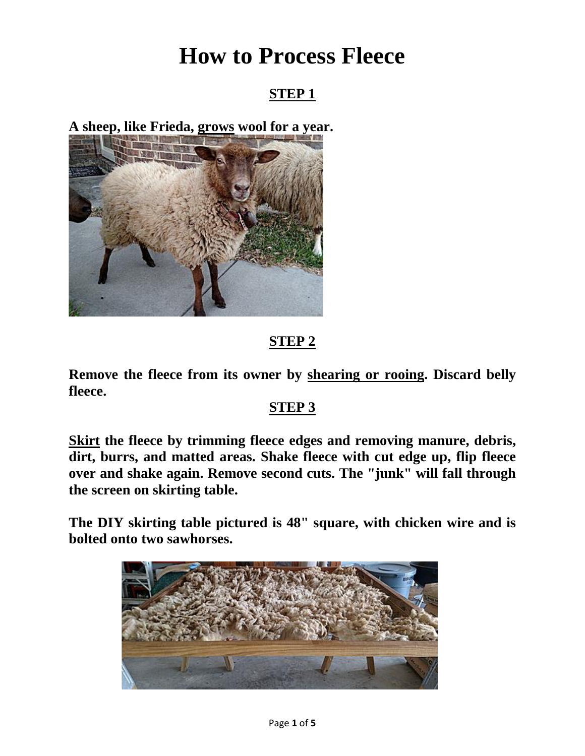# **How to Process Fleece**

## **STEP 1**

**A sheep, like Frieda, grows wool for a year.**



# **STEP 2**

**Remove the fleece from its owner by shearing or rooing. Discard belly fleece.**

### **STEP 3**

**Skirt the fleece by trimming fleece edges and removing manure, debris, dirt, burrs, and matted areas. Shake fleece with cut edge up, flip fleece over and shake again. Remove second cuts. The "junk" will fall through the screen on skirting table.**

**The DIY skirting table pictured is 48" square, with chicken wire and is bolted onto two sawhorses.**

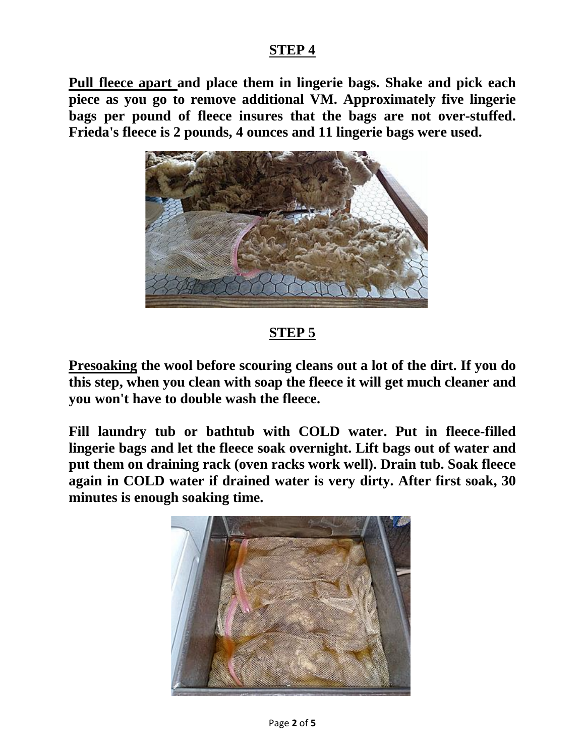**Pull fleece apart and place them in lingerie bags. Shake and pick each piece as you go to remove additional VM. Approximately five lingerie bags per pound of fleece insures that the bags are not over-stuffed. Frieda's fleece is 2 pounds, 4 ounces and 11 lingerie bags were used.**



# **STEP 5**

**Presoaking the wool before scouring cleans out a lot of the dirt. If you do this step, when you clean with soap the fleece it will get much cleaner and you won't have to double wash the fleece.**

**Fill laundry tub or bathtub with COLD water. Put in fleece-filled lingerie bags and let the fleece soak overnight. Lift bags out of water and put them on draining rack (oven racks work well). Drain tub. Soak fleece again in COLD water if drained water is very dirty. After first soak, 30 minutes is enough soaking time.**

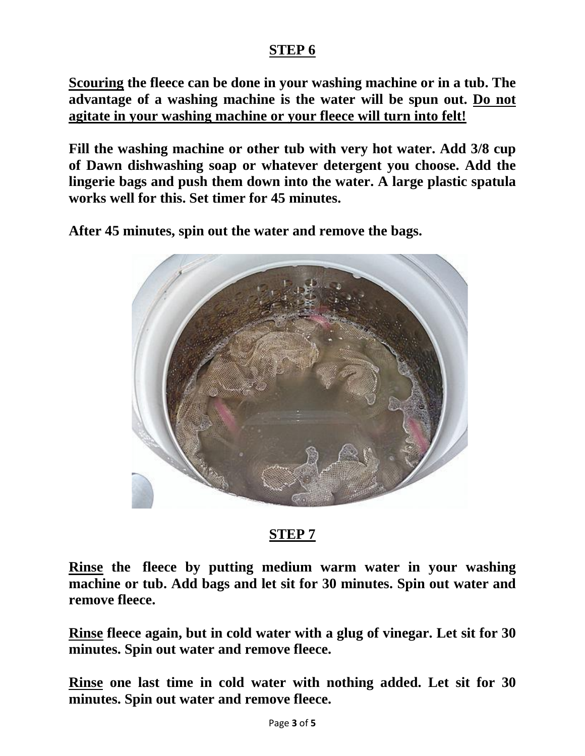**Scouring the fleece can be done in your washing machine or in a tub. The advantage of a washing machine is the water will be spun out. Do not agitate in your washing machine or your fleece will turn into felt!**

**Fill the washing machine or other tub with very hot water. Add 3/8 cup of Dawn dishwashing soap or whatever detergent you choose. Add the lingerie bags and push them down into the water. A large plastic spatula works well for this. Set timer for 45 minutes.**

**After 45 minutes, spin out the water and remove the bags.**



### **STEP 7**

**Rinse the fleece by putting medium warm water in your washing machine or tub. Add bags and let sit for 30 minutes. Spin out water and remove fleece.**

**Rinse fleece again, but in cold water with a glug of vinegar. Let sit for 30 minutes. Spin out water and remove fleece.**

**Rinse one last time in cold water with nothing added. Let sit for 30 minutes. Spin out water and remove fleece.**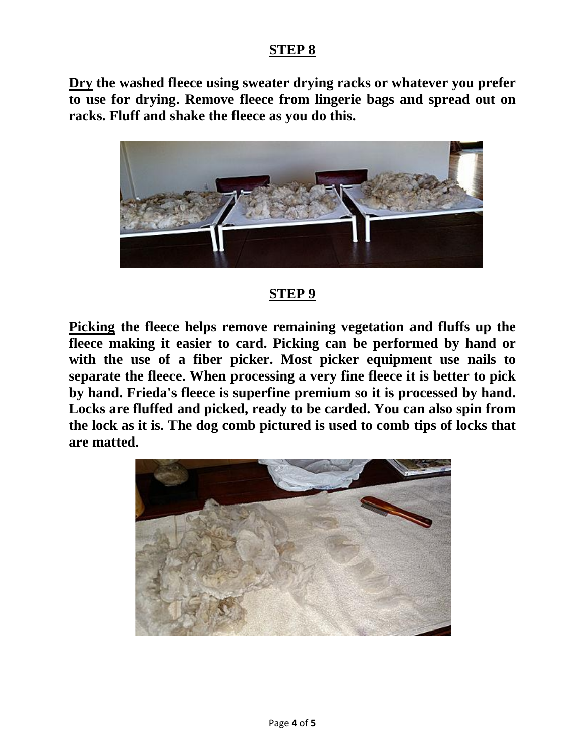**Dry the washed fleece using sweater drying racks or whatever you prefer to use for drying. Remove fleece from lingerie bags and spread out on racks. Fluff and shake the fleece as you do this.**



#### **STEP 9**

**Picking the fleece helps remove remaining vegetation and fluffs up the fleece making it easier to card. Picking can be performed by hand or with the use of a fiber picker. Most picker equipment use nails to separate the fleece. When processing a very fine fleece it is better to pick by hand. Frieda's fleece is superfine premium so it is processed by hand. Locks are fluffed and picked, ready to be carded. You can also spin from the lock as it is. The dog comb pictured is used to comb tips of locks that are matted.**